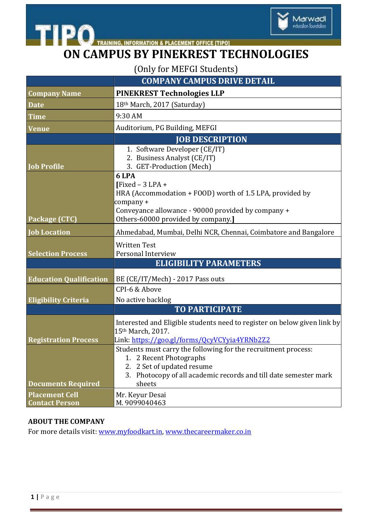

# **ON CAMPUS BY PINEKREST TECHNOLOGIES**

(Only for MEFGI Students)

| <b>COMPANY CAMPUS DRIVE DETAIL</b> |  |
|------------------------------------|--|
|                                    |  |

Marwadi education foundation

| <b>Company Name</b>                            | <b>PINEKREST Technologies LLP</b>                                                                                                                                                                        |
|------------------------------------------------|----------------------------------------------------------------------------------------------------------------------------------------------------------------------------------------------------------|
| <b>Date</b>                                    | 18th March, 2017 (Saturday)                                                                                                                                                                              |
| <b>Time</b>                                    | 9:30 AM                                                                                                                                                                                                  |
| <b>Venue</b>                                   | Auditorium, PG Building, MEFGI                                                                                                                                                                           |
|                                                | <b>JOB DESCRIPTION</b>                                                                                                                                                                                   |
| <b>Job Profile</b>                             | 1. Software Developer (CE/IT)<br>2. Business Analyst (CE/IT)<br>3. GET-Production (Mech)                                                                                                                 |
| Package (CTC)                                  | 6 LPA<br>$[Fixed - 3 LPA +$<br>HRA (Accommodation + FOOD) worth of 1.5 LPA, provided by<br>company +<br>Conveyance allowance - 90000 provided by company +<br>Others-60000 provided by company.]         |
| <b>Job Location</b>                            | Ahmedabad, Mumbai, Delhi NCR, Chennai, Coimbatore and Bangalore                                                                                                                                          |
| <b>Selection Process</b>                       | <b>Written Test</b><br>Personal Interview<br><b>ELIGIBILITY PARAMETERS</b>                                                                                                                               |
|                                                |                                                                                                                                                                                                          |
| <b>Education Qualification</b>                 | BE (CE/IT/Mech) - 2017 Pass outs<br>CPI-6 & Above                                                                                                                                                        |
| <b>Eligibility Criteria</b>                    | No active backlog                                                                                                                                                                                        |
|                                                | <b>TO PARTICIPATE</b>                                                                                                                                                                                    |
| <b>Registration Process</b>                    | Interested and Eligible students need to register on below given link by<br>15th March, 2017.<br>Link: https://goo.gl/forms/QcyVCYyia4YRNb2Z2                                                            |
| <b>Documents Required</b>                      | Students must carry the following for the recruitment process:<br>1. 2 Recent Photographs<br>2. 2 Set of updated resume<br>Photocopy of all academic records and till date semester mark<br>3.<br>sheets |
| <b>Placement Cell</b><br><b>Contact Person</b> | Mr. Keyur Desai<br>M. 9099040463                                                                                                                                                                         |

#### **ABOUT THE COMPANY**

For more details visit: [www.myfoodkart.in,](http://www.myfoodkart.in/) [www.thecareermaker.co.in](http://www.thecareermaker.co.in/)